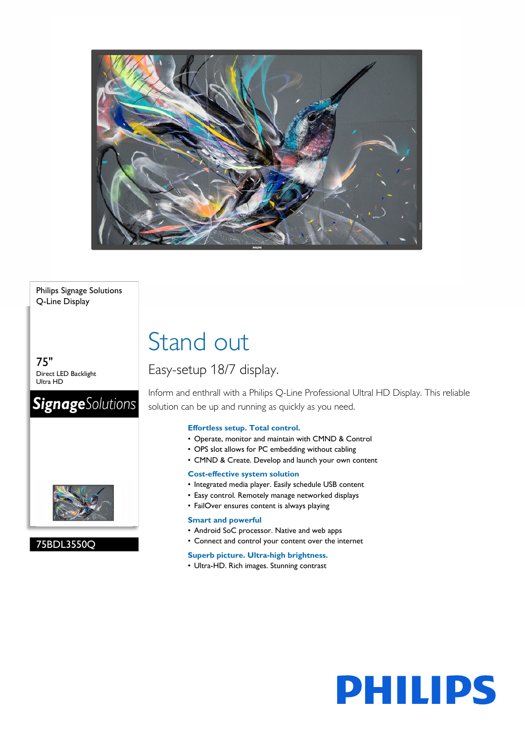

### Philips Signage Solutions Q-Line Display

75" Direct LED Backlight Ultra HD

# **SignageSolutions**



### 75BDL3550Q

# Stand out

# Easy-setup 18/7 display.

Inform and enthrall with a Philips Q-Line Professional Ultral HD Display. This reliable solution can be up and running as quickly as you need.

**PHILIPS** 

### **Effortless setup. Total control.**

- Operate, monitor and maintain with CMND & Control
- OPS slot allows for PC embedding without cabling
- CMND & Create. Develop and launch your own content

### **Cost-effective system solution**

- Integrated media player. Easily schedule USB content
- Easy control. Remotely manage networked displays
- FailOver ensures content is always playing

### **Smart and powerful**

- Android SoC processor. Native and web apps
- Connect and control your content over the internet

### **Superb picture. Ultra-high brightness.**

• Ultra-HD. Rich images. Stunning contrast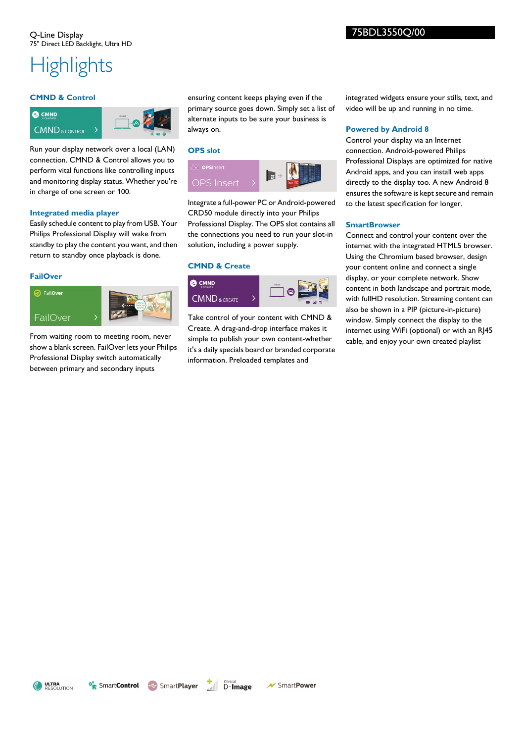# **Highlights**

### **CMND & Control**



Run your display network over a local (LAN) connection. CMND & Control allows you to perform vital functions like controlling inputs and monitoring display status. Whether you're in charge of one screen or 100.

### **Integrated media player**

Easily schedule content to play from USB. Your Philips Professional Display will wake from standby to play the content you want, and then return to standby once playback is done.

### **FailOver**



From waiting room to meeting room, never show a blank screen. FailOver lets your Philips Professional Display switch automatically between primary and secondary inputs

ensuring content keeps playing even if the primary source goes down. Simply set a list of alternate inputs to be sure your business is always on.

### **OPS slot**



Integrate a full-power PC or Android-powered CRD50 module directly into your Philips Professional Display. The OPS slot contains all the connections you need to run your slot-in solution, including a power supply.

### **CMND & Create**



Take control of your content with CMND & Create. A drag-and-drop interface makes it simple to publish your own content-whether it's a daily specials board or branded corporate information. Preloaded templates and

integrated widgets ensure your stills, text, and video will be up and running in no time.

### **Powered by Android 8**

Control your display via an Internet connection. Android-powered Philips Professional Displays are optimized for native Android apps, and you can install web apps directly to the display too. A new Android 8 ensures the software is kept secure and remain to the latest specification for longer.

### **SmartBrowser**

Connect and control your content over the internet with the integrated HTML5 browser. Using the Chromium based browser, design your content online and connect a single display, or your complete network. Show content in both landscape and portrait mode, with fullHD resolution. Streaming content can also be shown in a PIP (picture-in-picture) window. Simply connect the display to the internet using WiFi (optional) or with an RJ45 cable, and enjoy your own created playlist

ULTRA<br>RESOLUTION